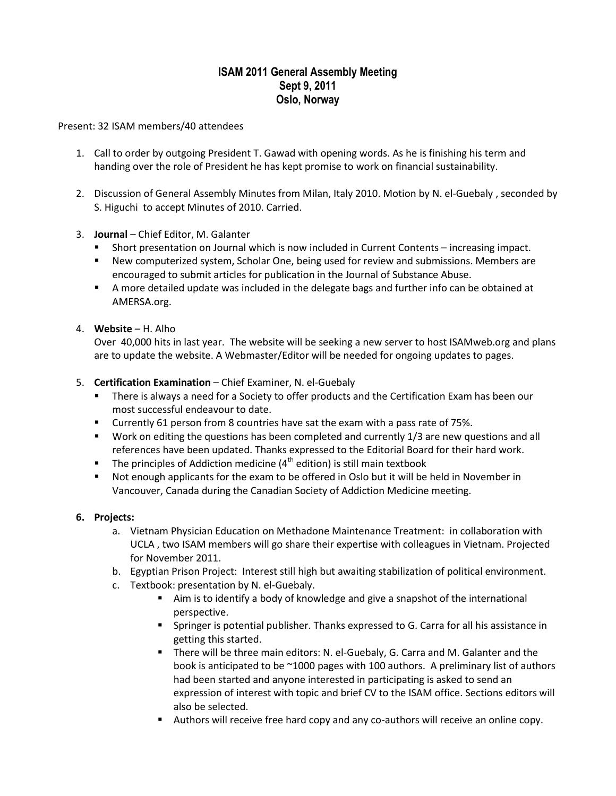# **ISAM 2011 General Assembly Meeting Sept 9, 2011 Oslo, Norway**

Present: 32 ISAM members/40 attendees

- 1. Call to order by outgoing President T. Gawad with opening words. As he is finishing his term and handing over the role of President he has kept promise to work on financial sustainability.
- 2. Discussion of General Assembly Minutes from Milan, Italy 2010. Motion by N. el-Guebaly , seconded by S. Higuchi to accept Minutes of 2010. Carried.
- 3. **Journal** Chief Editor, M. Galanter
	- Short presentation on Journal which is now included in Current Contents increasing impact.
	- New computerized system, Scholar One, being used for review and submissions. Members are encouraged to submit articles for publication in the Journal of Substance Abuse.
	- A more detailed update was included in the delegate bags and further info can be obtained at AMERSA.org.
- 4. **Website**  H. Alho

Over 40,000 hits in last year. The website will be seeking a new server to host ISAMweb.org and plans are to update the website. A Webmaster/Editor will be needed for ongoing updates to pages.

#### 5. **Certification Examination** – Chief Examiner, N. el-Guebaly

- There is always a need for a Society to offer products and the Certification Exam has been our most successful endeavour to date.
- Currently 61 person from 8 countries have sat the exam with a pass rate of 75%.
- **Work on editing the questions has been completed and currently 1/3 are new questions and all** references have been updated. Thanks expressed to the Editorial Board for their hard work.
- The principles of Addiction medicine  $(4^{th}$  edition) is still main textbook
- Not enough applicants for the exam to be offered in Oslo but it will be held in November in Vancouver, Canada during the Canadian Society of Addiction Medicine meeting.

#### **6. Projects:**

- a. Vietnam Physician Education on Methadone Maintenance Treatment: in collaboration with UCLA , two ISAM members will go share their expertise with colleagues in Vietnam. Projected for November 2011.
- b. Egyptian Prison Project: Interest still high but awaiting stabilization of political environment.
- c. Textbook: presentation by N. el-Guebaly.
	- Aim is to identify a body of knowledge and give a snapshot of the international perspective.
	- Springer is potential publisher. Thanks expressed to G. Carra for all his assistance in getting this started.
	- There will be three main editors: N. el-Guebaly, G. Carra and M. Galanter and the book is anticipated to be  $\sim$ 1000 pages with 100 authors. A preliminary list of authors had been started and anyone interested in participating is asked to send an expression of interest with topic and brief CV to the ISAM office. Sections editors will also be selected.
	- Authors will receive free hard copy and any co-authors will receive an online copy.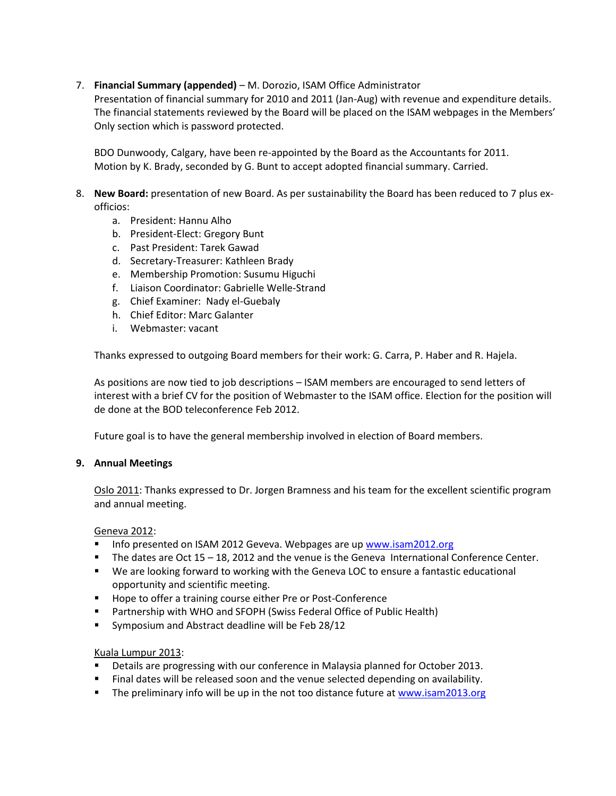# 7. **Financial Summary (appended)** – M. Dorozio, ISAM Office Administrator

Presentation of financial summary for 2010 and 2011 (Jan-Aug) with revenue and expenditure details. The financial statements reviewed by the Board will be placed on the ISAM webpages in the Members' Only section which is password protected.

BDO Dunwoody, Calgary, have been re-appointed by the Board as the Accountants for 2011. Motion by K. Brady, seconded by G. Bunt to accept adopted financial summary. Carried.

- 8. **New Board:** presentation of new Board. As per sustainability the Board has been reduced to 7 plus exofficios:
	- a. President: Hannu Alho
	- b. President-Elect: Gregory Bunt
	- c. Past President: Tarek Gawad
	- d. Secretary-Treasurer: Kathleen Brady
	- e. Membership Promotion: Susumu Higuchi
	- f. Liaison Coordinator: Gabrielle Welle-Strand
	- g. Chief Examiner: Nady el-Guebaly
	- h. Chief Editor: Marc Galanter
	- i. Webmaster: vacant

Thanks expressed to outgoing Board members for their work: G. Carra, P. Haber and R. Hajela.

As positions are now tied to job descriptions – ISAM members are encouraged to send letters of interest with a brief CV for the position of Webmaster to the ISAM office. Election for the position will de done at the BOD teleconference Feb 2012.

Future goal is to have the general membership involved in election of Board members.

#### **9. Annual Meetings**

Oslo 2011: Thanks expressed to Dr. Jorgen Bramness and his team for the excellent scientific program and annual meeting.

#### Geneva 2012:

- Info presented on ISAM 2012 Geveva. Webpages are up [www.isam2012.org](http://www.isam2012.org/)
- The dates are Oct 15 18, 2012 and the venue is the Geneva International Conference Center.
- **We are looking forward to working with the Geneva LOC to ensure a fantastic educational** opportunity and scientific meeting.
- **Hope to offer a training course either Pre or Post-Conference**
- **Partnership with WHO and SFOPH (Swiss Federal Office of Public Health)**
- Symposium and Abstract deadline will be Feb 28/12

#### Kuala Lumpur 2013:

- **Details are progressing with our conference in Malaysia planned for October 2013.**
- Final dates will be released soon and the venue selected depending on availability.
- The preliminary info will be up in the not too distance future a[t www.isam2013.org](http://www.isam2013.org/)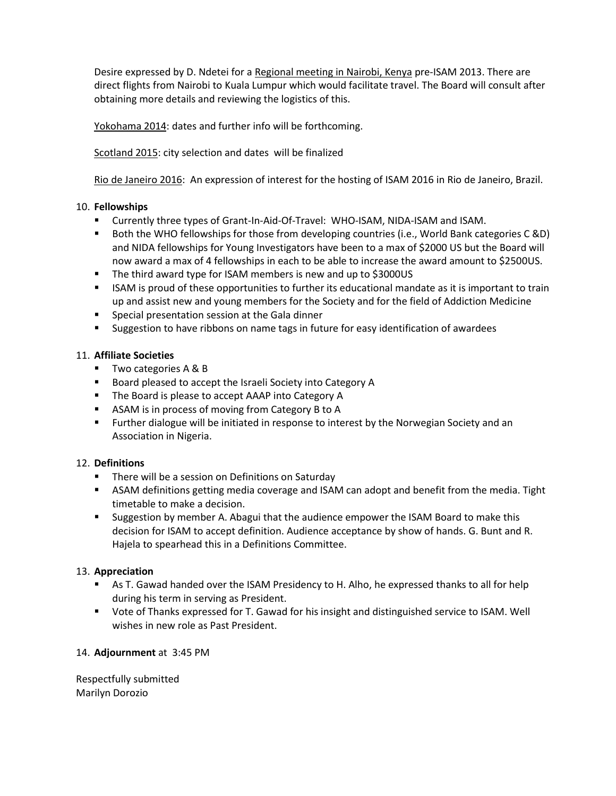Desire expressed by D. Ndetei for a Regional meeting in Nairobi, Kenya pre-ISAM 2013. There are direct flights from Nairobi to Kuala Lumpur which would facilitate travel. The Board will consult after obtaining more details and reviewing the logistics of this.

Yokohama 2014: dates and further info will be forthcoming.

Scotland 2015: city selection and dates will be finalized

Rio de Janeiro 2016: An expression of interest for the hosting of ISAM 2016 in Rio de Janeiro, Brazil.

### 10. **Fellowships**

- Currently three types of Grant-In-Aid-Of-Travel: WHO-ISAM, NIDA-ISAM and ISAM.
- Both the WHO fellowships for those from developing countries (i.e., World Bank categories C &D) and NIDA fellowships for Young Investigators have been to a max of \$2000 US but the Board will now award a max of 4 fellowships in each to be able to increase the award amount to \$2500US.
- The third award type for ISAM members is new and up to \$3000US
- **ISAM** is proud of these opportunities to further its educational mandate as it is important to train up and assist new and young members for the Society and for the field of Addiction Medicine
- Special presentation session at the Gala dinner
- **Suggestion to have ribbons on name tags in future for easy identification of awardees**

#### 11. **Affiliate Societies**

- **Two categories A & B**
- Board pleased to accept the Israeli Society into Category A
- The Board is please to accept AAAP into Category A
- **ASAM** is in process of moving from Category B to A
- **Further dialogue will be initiated in response to interest by the Norwegian Society and an** Association in Nigeria.

#### 12. **Definitions**

- **There will be a session on Definitions on Saturday**
- ASAM definitions getting media coverage and ISAM can adopt and benefit from the media. Tight timetable to make a decision.
- Suggestion by member A. Abagui that the audience empower the ISAM Board to make this decision for ISAM to accept definition. Audience acceptance by show of hands. G. Bunt and R. Hajela to spearhead this in a Definitions Committee.

# 13. **Appreciation**

- As T. Gawad handed over the ISAM Presidency to H. Alho, he expressed thanks to all for help during his term in serving as President.
- Vote of Thanks expressed for T. Gawad for his insight and distinguished service to ISAM. Well wishes in new role as Past President.

# 14. **Adjournment** at 3:45 PM

Respectfully submitted Marilyn Dorozio